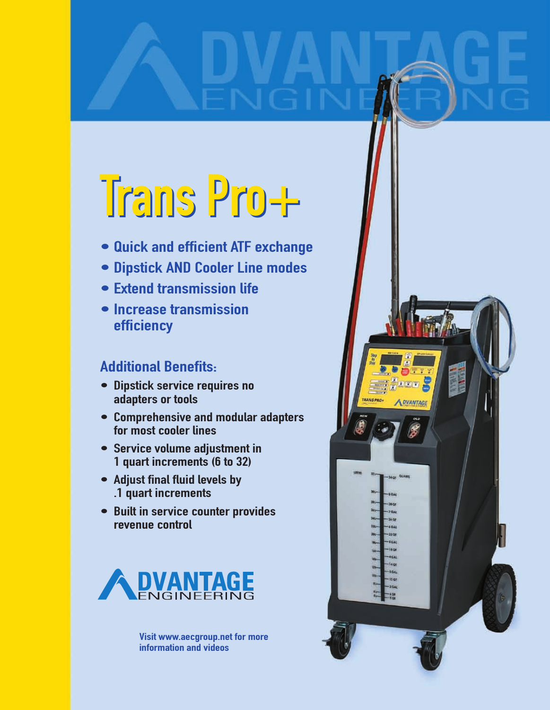# Trans Pro+ Trans Pro+

- Quick and efficient ATF exchange
- Dipstick AND Cooler Line modes
- Extend transmission life
- Increase transmission efficiency

### Additional Benefits:

- Dipstick service requires no adapters or tools
- Comprehensive and modular adapters for most cooler lines
- Service volume adjustment in 1 quart increments (6 to 32)
- Adjust final fluid levels by .1 quart increments
- Built in service counter provides revenue control



Visit www.aecgroup.net for more information and videos